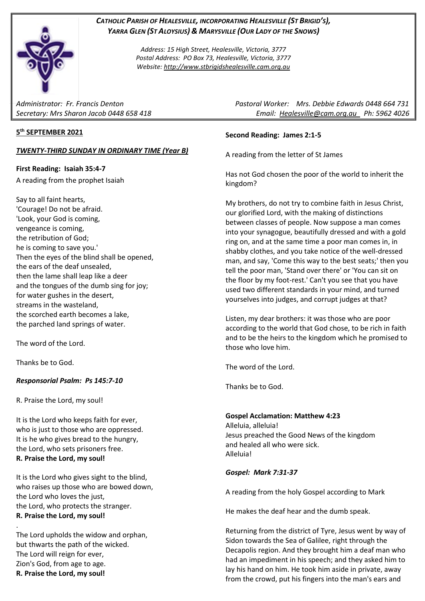

## *CATHOLIC PARISH OF HEALESVILLE, INCORPORATING HEALESVILLE (ST BRIGID'S), YARRA GLEN (ST ALOYSIUS) & MARYSVILLE (OUR LADY OF THE SNOWS)*

*Address: 15 High Street, Healesville, Victoria, 3777 Postal Address: PO Box 73, Healesville, Victoria, 3777 Website: [http://www.stbrigidshealesville.cam.org.au](http://www.stbrigidshealesville.cam.org.au/)*

## **5 th SEPTEMBER 2021**

#### *TWENTY-THIRD SUNDAY IN ORDINARY TIME (Year B)*

**First Reading: Isaiah 35:4-7**

A reading from the prophet Isaiah

Say to all faint hearts, 'Courage! Do not be afraid. 'Look, your God is coming, vengeance is coming, the retribution of God; he is coming to save you.' Then the eyes of the blind shall be opened, the ears of the deaf unsealed, then the lame shall leap like a deer and the tongues of the dumb sing for joy; for water gushes in the desert, streams in the wasteland, the scorched earth becomes a lake, the parched land springs of water.

The word of the Lord.

Thanks be to God.

### *Responsorial Psalm: Ps 145:7-10*

R. Praise the Lord, my soul!

It is the Lord who keeps faith for ever, who is just to those who are oppressed. It is he who gives bread to the hungry, the Lord, who sets prisoners free. **R. Praise the Lord, my soul!**

It is the Lord who gives sight to the blind, who raises up those who are bowed down, the Lord who loves the just, the Lord, who protects the stranger. **R. Praise the Lord, my soul!**

. The Lord upholds the widow and orphan, but thwarts the path of the wicked. The Lord will reign for ever, Zion's God, from age to age. **R. Praise the Lord, my soul!**

*Administrator: Fr. Francis Denton Pastoral Worker: Mrs. Debbie Edwards 0448 664 731 Secretary: Mrs Sharon Jacob 0448 658 418 Email: [Healesville@cam.org.au](mailto:Healesville@cam.org.au) Ph: 5962 4026* 

#### **Second Reading: James 2:1-5**

A reading from the letter of St James

Has not God chosen the poor of the world to inherit the kingdom?

My brothers, do not try to combine faith in Jesus Christ, our glorified Lord, with the making of distinctions between classes of people. Now suppose a man comes into your synagogue, beautifully dressed and with a gold ring on, and at the same time a poor man comes in, in shabby clothes, and you take notice of the well-dressed man, and say, 'Come this way to the best seats;' then you tell the poor man, 'Stand over there' or 'You can sit on the floor by my foot-rest.' Can't you see that you have used two different standards in your mind, and turned yourselves into judges, and corrupt judges at that?

Listen, my dear brothers: it was those who are poor according to the world that God chose, to be rich in faith and to be the heirs to the kingdom which he promised to those who love him.

The word of the Lord.

Thanks be to God.

**Gospel Acclamation: Matthew 4:23** Alleluia, alleluia! Jesus preached the Good News of the kingdom and healed all who were sick. Alleluia!

### *Gospel: Mark 7:31-37*

A reading from the holy Gospel according to Mark

He makes the deaf hear and the dumb speak.

Returning from the district of Tyre, Jesus went by way of Sidon towards the Sea of Galilee, right through the Decapolis region. And they brought him a deaf man who had an impediment in his speech; and they asked him to lay his hand on him. He took him aside in private, away from the crowd, put his fingers into the man's ears and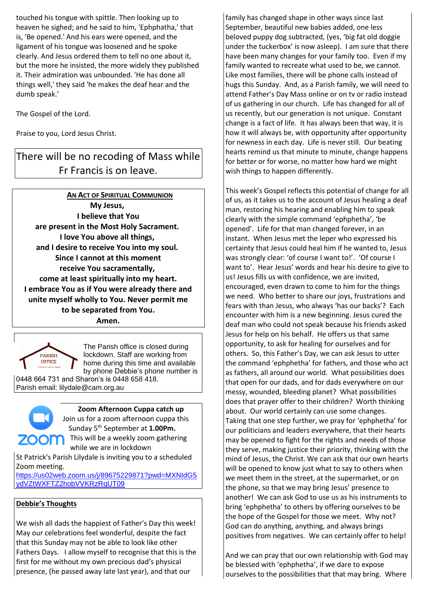touched his tongue with spittle. Then looking up to heaven he sighed; and he said to him, 'Ephphatha,' that is, 'Be opened.' And his ears were opened, and the ligament of his tongue was loosened and he spoke clearly. And Jesus ordered them to tell no one about it, but the more he insisted, the more widely they published it. Their admiration was unbounded. 'He has done all things well,' they said 'he makes the deaf hear and the dumb speak.'

The Gospel of the Lord.

Praise to you, Lord Jesus Christ.

# There will be no recoding of Mass while Fr Francis is on leave.

**AN ACT OF SPIRITUAL COMMUNION My Jesus, I believe that You are present in the Most Holy Sacrament. I love You above all things, and I desire to receive You into my soul. Since I cannot at this moment receive You sacramentally, come at least spiritually into my heart. I embrace You as if You were already there and unite myself wholly to You. Never permit me to be separated from You. Amen.**



The Parish office is closed during lockdown. Staff are working from home during this time and available by phone Debbie's phone number is

0448 664 731 and Sharon's is 0448 658 418. Parish email: lilydale@cam.org.au



**Zoom Afternoon Cuppa catch up**

Join us for a zoom afternoon cuppa this Sunday 5th September at **1.00Pm. ZOOM** This will be a weekly zoom gathering while we are in lockdown

St Patrick's Parish Lilydale is inviting you to a scheduled Zoom meeting.

[https://us02web.zoom.us/j/89675229871?pwd=MXNIdG5](https://us02web.zoom.us/j/89675229871?pwd=MXNIdG5ydVZtWXFTZ2hobVVKRzRqUT09) [ydVZtWXFTZ2hobVVKRzRqUT09](https://us02web.zoom.us/j/89675229871?pwd=MXNIdG5ydVZtWXFTZ2hobVVKRzRqUT09)

## **Debbie's Thoughts**

We wish all dads the happiest of Father's Day this week! May our celebrations feel wonderful, despite the fact that this Sunday may not be able to look like other Fathers Days. I allow myself to recognise that this is the first for me without my own precious dad's physical presence, (he passed away late last year), and that our

family has changed shape in other ways since last September, beautiful new babies added, one less beloved puppy dog subtracted, (yes, 'big fat old doggie under the tuckerbox' is now asleep). I am sure that there have been many changes for your family too. Even if my family wanted to recreate what used to be, we cannot. Like most families, there will be phone calls instead of hugs this Sunday. And, as a Parish family, we will need to attend Father's Day Mass online or on tv or radio instead of us gathering in our church. Life has changed for all of us recently, but our generation is not unique. Constant change is a fact of life. It has always been that way, it is how it will always be, with opportunity after opportunity for newness in each day. Life is never still. Our beating hearts remind us that minute to minute, change happens for better or for worse, no matter how hard we might wish things to happen differently.

This week's Gospel reflects this potential of change for all of us, as it takes us to the account of Jesus healing a deaf man, restoring his hearing and enabling him to speak clearly with the simple command 'ephphetha', 'be opened'. Life for that man changed forever, in an instant. When Jesus met the leper who expressed his certainty that Jesus could heal him if he wanted to, Jesus was strongly clear: 'of course I want to!'. 'Of course I want to'. Hear Jesus' words and hear his desire to give to us! Jesus fills us with confidence, we are invited, encouraged, even drawn to come to him for the things we need. Who better to share our joys, frustrations and fears with than Jesus, who always 'has our backs'? Each encounter with him is a new beginning. Jesus cured the deaf man who could not speak because his friends asked Jesus for help on his behalf. He offers us that same opportunity, to ask for healing for ourselves and for others. So, this Father's Day, we can ask Jesus to utter the command 'ephphetha' for fathers, and those who act as fathers, all around our world. What possibilities does that open for our dads, and for dads everywhere on our messy, wounded, bleeding planet? What possibilities does that prayer offer to their children? Worth thinking about. Our world certainly can use some changes. Taking that one step further, we pray for 'ephphetha' for our politicians and leaders everywhere, that their hearts may be opened to fight for the rights and needs of those they serve, making justice their priority, thinking with the mind of Jesus, the Christ. We can ask that our own hearts will be opened to know just what to say to others when we meet them in the street, at the supermarket, or on the phone, so that we may bring Jesus' presence to another! We can ask God to use us as his instruments to bring 'ephphetha' to others by offering ourselves to be the hope of the Gospel for those we meet. Why not? God can do anything, anything, and always brings positives from negatives. We can certainly offer to help!

And we can pray that our own relationship with God may be blessed with 'ephphetha', if we dare to expose ourselves to the possibilities that that may bring. Where